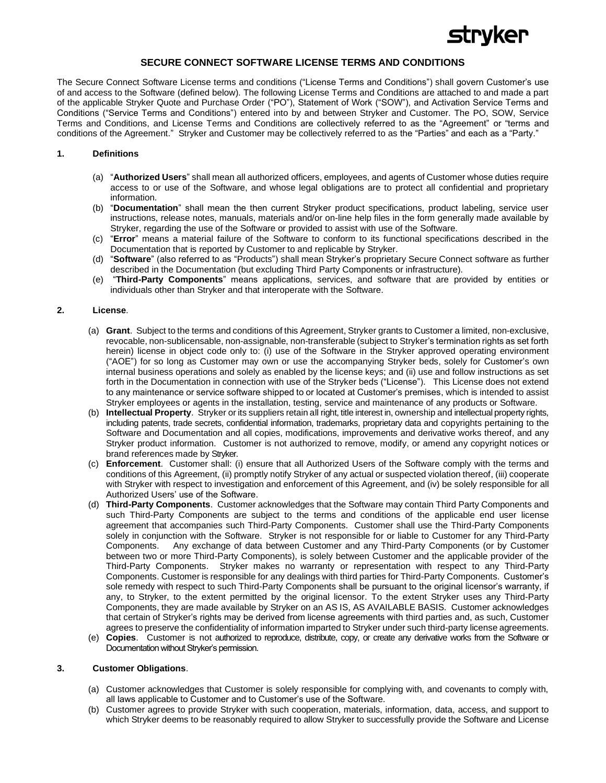

# **SECURE CONNECT SOFTWARE LICENSE TERMS AND CONDITIONS**

The Secure Connect Software License terms and conditions ("License Terms and Conditions") shall govern Customer's use of and access to the Software (defined below). The following License Terms and Conditions are attached to and made a part of the applicable Stryker Quote and Purchase Order ("PO"), Statement of Work ("SOW"), and Activation Service Terms and Conditions ("Service Terms and Conditions") entered into by and between Stryker and Customer. The PO, SOW, Service Terms and Conditions, and License Terms and Conditions are collectively referred to as the "Agreement" or "terms and conditions of the Agreement." Stryker and Customer may be collectively referred to as the "Parties" and each as a "Party."

### **1. Definitions**

- (a) "**Authorized Users**" shall mean all authorized officers, employees, and agents of Customer whose duties require access to or use of the Software, and whose legal obligations are to protect all confidential and proprietary information.
- (b) "**Documentation**" shall mean the then current Stryker product specifications, product labeling, service user instructions, release notes, manuals, materials and/or on-line help files in the form generally made available by Stryker, regarding the use of the Software or provided to assist with use of the Software.
- (c) "**Error**" means a material failure of the Software to conform to its functional specifications described in the Documentation that is reported by Customer to and replicable by Stryker.
- (d) "**Software**" (also referred to as "Products") shall mean Stryker's proprietary Secure Connect software as further described in the Documentation (but excluding Third Party Components or infrastructure).
- (e) "**Third-Party Components**" means applications, services, and software that are provided by entities or individuals other than Stryker and that interoperate with the Software.

#### **2. License**.

- (a) **Grant**. Subject to the terms and conditions of this Agreement, Stryker grants to Customer a limited, non-exclusive, revocable, non-sublicensable, non-assignable, non-transferable (subject to Stryker's termination rights as set forth herein) license in object code only to: (i) use of the Software in the Stryker approved operating environment ("AOE") for so long as Customer may own or use the accompanying Stryker beds, solely for Customer's own internal business operations and solely as enabled by the license keys; and (ii) use and follow instructions as set forth in the Documentation in connection with use of the Stryker beds ("License"). This License does not extend to any maintenance or service software shipped to or located at Customer's premises, which is intended to assist Stryker employees or agents in the installation, testing, service and maintenance of any products or Software.
- (b) **Intellectual Property**. Stryker or its suppliers retain all right, title interest in, ownership and intellectual property rights, including patents, trade secrets, confidential information, trademarks, proprietary data and copyrights pertaining to the Software and Documentation and all copies, modifications, improvements and derivative works thereof, and any Stryker product information. Customer is not authorized to remove, modify, or amend any copyright notices or brand references made by Stryker.
- (c) **Enforcement**. Customer shall: (i) ensure that all Authorized Users of the Software comply with the terms and conditions of this Agreement, (ii) promptly notify Stryker of any actual or suspected violation thereof, (iii) cooperate with Stryker with respect to investigation and enforcement of this Agreement, and (iv) be solely responsible for all Authorized Users' use of the Software.
- (d) **Third-Party Components**. Customer acknowledges that the Software may contain Third Party Components and such Third-Party Components are subject to the terms and conditions of the applicable end user license agreement that accompanies such Third-Party Components. Customer shall use the Third-Party Components solely in conjunction with the Software. Stryker is not responsible for or liable to Customer for any Third-Party Components. Any exchange of data between Customer and any Third-Party Components (or by Customer between two or more Third-Party Components), is solely between Customer and the applicable provider of the Third-Party Components. Stryker makes no warranty or representation with respect to any Third-Party Components. Customer is responsible for any dealings with third parties for Third-Party Components. Customer's sole remedy with respect to such Third-Party Components shall be pursuant to the original licensor's warranty, if any, to Stryker, to the extent permitted by the original licensor. To the extent Stryker uses any Third-Party Components, they are made available by Stryker on an AS IS, AS AVAILABLE BASIS. Customer acknowledges that certain of Stryker's rights may be derived from license agreements with third parties and, as such, Customer agrees to preserve the confidentiality of information imparted to Stryker under such third-party license agreements.
- (e) **Copies**.Customer is not authorized to reproduce, distribute, copy, or create any derivative works from the Software or Documentation without Stryker's permission.

## **3. Customer Obligations**.

- (a) Customer acknowledges that Customer is solely responsible for complying with, and covenants to comply with, all laws applicable to Customer and to Customer's use of the Software.
- (b) Customer agrees to provide Stryker with such cooperation, materials, information, data, access, and support to which Stryker deems to be reasonably required to allow Stryker to successfully provide the Software and License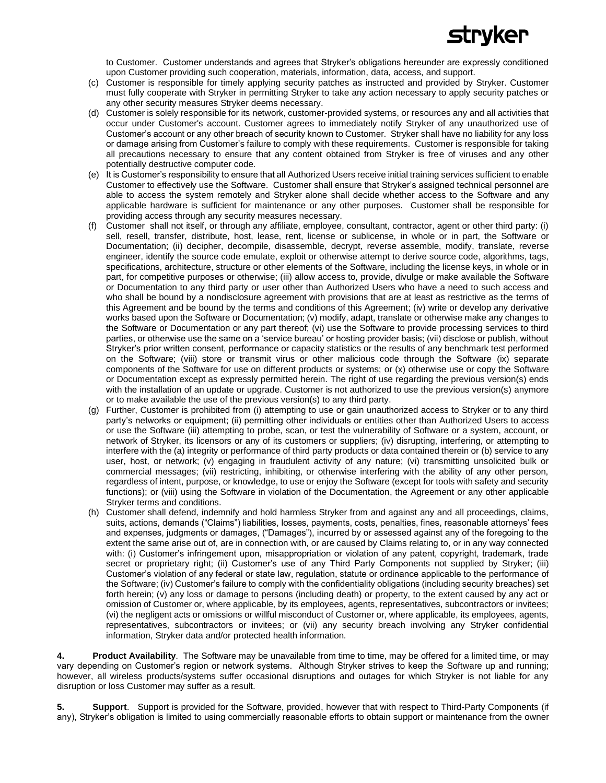

to Customer. Customer understands and agrees that Stryker's obligations hereunder are expressly conditioned upon Customer providing such cooperation, materials, information, data, access, and support.

- (c) Customer is responsible for timely applying security patches as instructed and provided by Stryker. Customer must fully cooperate with Stryker in permitting Stryker to take any action necessary to apply security patches or any other security measures Stryker deems necessary.
- (d) Customer is solely responsible for its network, customer-provided systems, or resources any and all activities that occur under Customer's account. Customer agrees to immediately notify Stryker of any unauthorized use of Customer's account or any other breach of security known to Customer. Stryker shall have no liability for any loss or damage arising from Customer's failure to comply with these requirements. Customer is responsible for taking all precautions necessary to ensure that any content obtained from Stryker is free of viruses and any other potentially destructive computer code.
- (e) It is Customer's responsibility to ensure that all Authorized Users receive initial training services sufficient to enable Customer to effectively use the Software. Customer shall ensure that Stryker's assigned technical personnel are able to access the system remotely and Stryker alone shall decide whether access to the Software and any applicable hardware is sufficient for maintenance or any other purposes. Customer shall be responsible for providing access through any security measures necessary.
- (f) Customer shall not itself, or through any affiliate, employee, consultant, contractor, agent or other third party: (i) sell, resell, transfer, distribute, host, lease, rent, license or sublicense, in whole or in part, the Software or Documentation; (ii) decipher, decompile, disassemble, decrypt, reverse assemble, modify, translate, reverse engineer, identify the source code emulate, exploit or otherwise attempt to derive source code, algorithms, tags, specifications, architecture, structure or other elements of the Software, including the license keys, in whole or in part, for competitive purposes or otherwise; (iii) allow access to, provide, divulge or make available the Software or Documentation to any third party or user other than Authorized Users who have a need to such access and who shall be bound by a nondisclosure agreement with provisions that are at least as restrictive as the terms of this Agreement and be bound by the terms and conditions of this Agreement; (iv) write or develop any derivative works based upon the Software or Documentation; (v) modify, adapt, translate or otherwise make any changes to the Software or Documentation or any part thereof; (vi) use the Software to provide processing services to third parties, or otherwise use the same on a 'service bureau' or hosting provider basis; (vii) disclose or publish, without Stryker's prior written consent, performance or capacity statistics or the results of any benchmark test performed on the Software; (viii) store or transmit virus or other malicious code through the Software (ix) separate components of the Software for use on different products or systems; or (x) otherwise use or copy the Software or Documentation except as expressly permitted herein. The right of use regarding the previous version(s) ends with the installation of an update or upgrade. Customer is not authorized to use the previous version(s) anymore or to make available the use of the previous version(s) to any third party.
- (g) Further, Customer is prohibited from (i) attempting to use or gain unauthorized access to Stryker or to any third party's networks or equipment; (ii) permitting other individuals or entities other than Authorized Users to access or use the Software (iii) attempting to probe, scan, or test the vulnerability of Software or a system, account, or network of Stryker, its licensors or any of its customers or suppliers; (iv) disrupting, interfering, or attempting to interfere with the (a) integrity or performance of third party products or data contained therein or (b) service to any user, host, or network; (v) engaging in fraudulent activity of any nature; (vi) transmitting unsolicited bulk or commercial messages; (vii) restricting, inhibiting, or otherwise interfering with the ability of any other person, regardless of intent, purpose, or knowledge, to use or enjoy the Software (except for tools with safety and security functions); or (viii) using the Software in violation of the Documentation, the Agreement or any other applicable Stryker terms and conditions.
- (h) Customer shall defend, indemnify and hold harmless Stryker from and against any and all proceedings, claims, suits, actions, demands ("Claims") liabilities, losses, payments, costs, penalties, fines, reasonable attorneys' fees and expenses, judgments or damages, ("Damages"), incurred by or assessed against any of the foregoing to the extent the same arise out of, are in connection with, or are caused by Claims relating to, or in any way connected with: (i) Customer's infringement upon, misappropriation or violation of any patent, copyright, trademark, trade secret or proprietary right; (ii) Customer's use of any Third Party Components not supplied by Stryker; (iii) Customer's violation of any federal or state law, regulation, statute or ordinance applicable to the performance of the Software; (iv) Customer's failure to comply with the confidentiality obligations (including security breaches) set forth herein; (v) any loss or damage to persons (including death) or property, to the extent caused by any act or omission of Customer or, where applicable, by its employees, agents, representatives, subcontractors or invitees; (vi) the negligent acts or omissions or willful misconduct of Customer or, where applicable, its employees, agents, representatives, subcontractors or invitees; or (vii) any security breach involving any Stryker confidential information, Stryker data and/or protected health information.

**4. Product Availability**. The Software may be unavailable from time to time, may be offered for a limited time, or may vary depending on Customer's region or network systems. Although Stryker strives to keep the Software up and running; however, all wireless products/systems suffer occasional disruptions and outages for which Stryker is not liable for any disruption or loss Customer may suffer as a result.

**5. Support**.Support is provided for the Software, provided, however that with respect to Third-Party Components (if any), Stryker's obligation is limited to using commercially reasonable efforts to obtain support or maintenance from the owner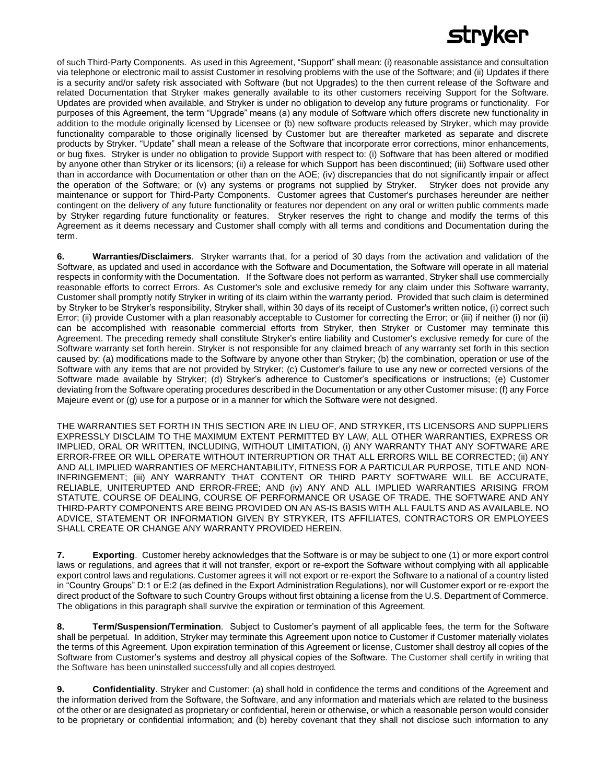# tryker

of such Third-Party Components. As used in this Agreement, "Support" shall mean: (i) reasonable assistance and consultation via telephone or electronic mail to assist Customer in resolving problems with the use of the Software; and (ii) Updates if there is a security and/or safety risk associated with Software (but not Upgrades) to the then current release of the Software and related Documentation that Stryker makes generally available to its other customers receiving Support for the Software. Updates are provided when available, and Stryker is under no obligation to develop any future programs or functionality. For purposes of this Agreement, the term "Upgrade" means (a) any module of Software which offers discrete new functionality in addition to the module originally licensed by Licensee or (b) new software products released by Stryker, which may provide functionality comparable to those originally licensed by Customer but are thereafter marketed as separate and discrete products by Stryker. "Update" shall mean a release of the Software that incorporate error corrections, minor enhancements, or bug fixes. Stryker is under no obligation to provide Support with respect to: (i) Software that has been altered or modified by anyone other than Stryker or its licensors; (ii) a release for which Support has been discontinued; (iii) Software used other than in accordance with Documentation or other than on the AOE; (iv) discrepancies that do not significantly impair or affect the operation of the Software; or (v) any systems or programs not supplied by Stryker. Stryker does not provide any maintenance or support for Third-Party Components. Customer agrees that Customer's purchases hereunder are neither contingent on the delivery of any future functionality or features nor dependent on any oral or written public comments made by Stryker regarding future functionality or features. Stryker reserves the right to change and modify the terms of this Agreement as it deems necessary and Customer shall comply with all terms and conditions and Documentation during the term.

**6. Warranties/Disclaimers**.Stryker warrants that, for a period of 30 days from the activation and validation of the Software, as updated and used in accordance with the Software and Documentation, the Software will operate in all material respects in conformity with the Documentation. If the Software does not perform as warranted, Stryker shall use commercially reasonable efforts to correct Errors. As Customer's sole and exclusive remedy for any claim under this Software warranty, Customer shall promptly notify Stryker in writing of its claim within the warranty period. Provided that such claim is determined by Stryker to be Stryker's responsibility, Stryker shall, within 30 days of its receipt of Customer's written notice, (i) correct such Error; (ii) provide Customer with a plan reasonably acceptable to Customer for correcting the Error; or (iii) if neither (i) nor (ii) can be accomplished with reasonable commercial efforts from Stryker, then Stryker or Customer may terminate this Agreement. The preceding remedy shall constitute Stryker's entire liability and Customer's exclusive remedy for cure of the Software warranty set forth herein. Stryker is not responsible for any claimed breach of any warranty set forth in this section caused by: (a) modifications made to the Software by anyone other than Stryker; (b) the combination, operation or use of the Software with any items that are not provided by Stryker; (c) Customer's failure to use any new or corrected versions of the Software made available by Stryker; (d) Stryker's adherence to Customer's specifications or instructions; (e) Customer deviating from the Software operating procedures described in the Documentation or any other Customer misuse; (f) any Force Majeure event or (g) use for a purpose or in a manner for which the Software were not designed.

THE WARRANTIES SET FORTH IN THIS SECTION ARE IN LIEU OF, AND STRYKER, ITS LICENSORS AND SUPPLIERS EXPRESSLY DISCLAIM TO THE MAXIMUM EXTENT PERMITTED BY LAW, ALL OTHER WARRANTIES, EXPRESS OR IMPLIED, ORAL OR WRITTEN, INCLUDING, WITHOUT LIMITATION, (i) ANY WARRANTY THAT ANY SOFTWARE ARE ERROR-FREE OR WILL OPERATE WITHOUT INTERRUPTION OR THAT ALL ERRORS WILL BE CORRECTED; (ii) ANY AND ALL IMPLIED WARRANTIES OF MERCHANTABILITY, FITNESS FOR A PARTICULAR PURPOSE, TITLE AND NON-INFRINGEMENT; (iii) ANY WARRANTY THAT CONTENT OR THIRD PARTY SOFTWARE WILL BE ACCURATE, RELIABLE, UNITERUPTED AND ERROR-FREE; AND (iv) ANY AND ALL IMPLIED WARRANTIES ARISING FROM STATUTE, COURSE OF DEALING, COURSE OF PERFORMANCE OR USAGE OF TRADE. THE SOFTWARE AND ANY THIRD-PARTY COMPONENTS ARE BEING PROVIDED ON AN AS-IS BASIS WITH ALL FAULTS AND AS AVAILABLE. NO ADVICE, STATEMENT OR INFORMATION GIVEN BY STRYKER, ITS AFFILIATES, CONTRACTORS OR EMPLOYEES SHALL CREATE OR CHANGE ANY WARRANTY PROVIDED HEREIN.

**7. Exporting**. Customer hereby acknowledges that the Software is or may be subject to one (1) or more export control laws or regulations, and agrees that it will not transfer, export or re-export the Software without complying with all applicable export control laws and regulations. Customer agrees it will not export or re-export the Software to a national of a country listed in "Country Groups" D:1 or E:2 (as defined in the Export Administration Regulations), nor will Customer export or re-export the direct product of the Software to such Country Groups without first obtaining a license from the U.S. Department of Commerce. The obligations in this paragraph shall survive the expiration or termination of this Agreement.

**8. Term/Suspension/Termination**. Subject to Customer's payment of all applicable fees, the term for the Software shall be perpetual. In addition, Stryker may terminate this Agreement upon notice to Customer if Customer materially violates the terms of this Agreement. Upon expiration termination of this Agreement or license, Customer shall destroy all copies of the Software from Customer's systems and destroy all physical copies of the Software. The Customer shall certify in writing that the Software has been uninstalled successfully and all copies destroyed.

**9. Confidentiality**. Stryker and Customer: (a) shall hold in confidence the terms and conditions of the Agreement and the information derived from the Software, the Software, and any information and materials which are related to the business of the other or are designated as proprietary or confidential, herein or otherwise, or which a reasonable person would consider to be proprietary or confidential information; and (b) hereby covenant that they shall not disclose such information to any